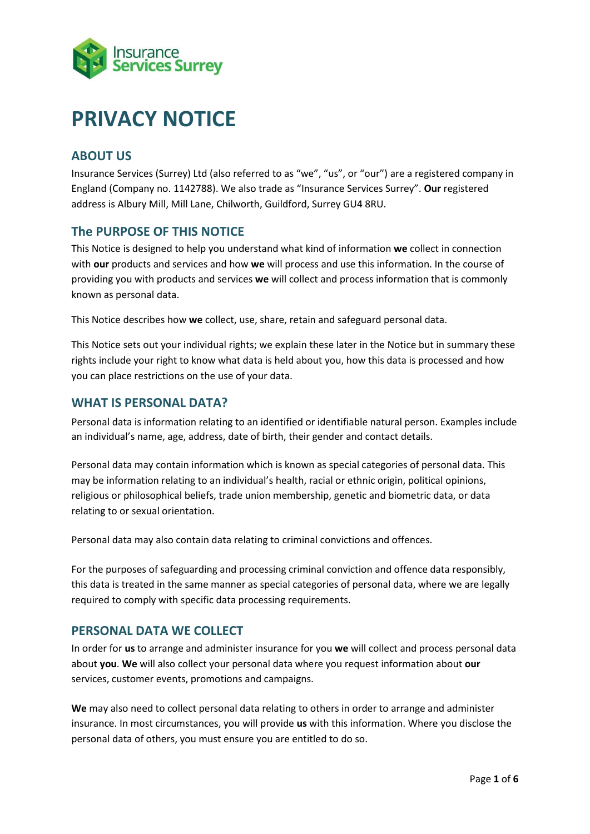

# **PRIVACY NOTICE**

# **ABOUT US**

Insurance Services (Surrey) Ltd (also referred to as "we", "us", or "our") are a registered company in England (Company no. 1142788). We also trade as "Insurance Services Surrey". **Our** registered address is Albury Mill, Mill Lane, Chilworth, Guildford, Surrey GU4 8RU.

# **The PURPOSE OF THIS NOTICE**

This Notice is designed to help you understand what kind of information **we** collect in connection with **our** products and services and how **we** will process and use this information. In the course of providing you with products and services **we** will collect and process information that is commonly known as personal data.

This Notice describes how **we** collect, use, share, retain and safeguard personal data.

This Notice sets out your individual rights; we explain these later in the Notice but in summary these rights include your right to know what data is held about you, how this data is processed and how you can place restrictions on the use of your data.

## **WHAT IS PERSONAL DATA?**

Personal data is information relating to an identified or identifiable natural person. Examples include an individual's name, age, address, date of birth, their gender and contact details.

Personal data may contain information which is known as special categories of personal data. This may be information relating to an individual's health, racial or ethnic origin, political opinions, religious or philosophical beliefs, trade union membership, genetic and biometric data, or data relating to or sexual orientation.

Personal data may also contain data relating to criminal convictions and offences.

For the purposes of safeguarding and processing criminal conviction and offence data responsibly, this data is treated in the same manner as special categories of personal data, where we are legally required to comply with specific data processing requirements.

## **PERSONAL DATA WE COLLECT**

In order for **us** to arrange and administer insurance for you **we** will collect and process personal data about **you**. **We** will also collect your personal data where you request information about **our** services, customer events, promotions and campaigns.

**We** may also need to collect personal data relating to others in order to arrange and administer insurance. In most circumstances, you will provide **us** with this information. Where you disclose the personal data of others, you must ensure you are entitled to do so.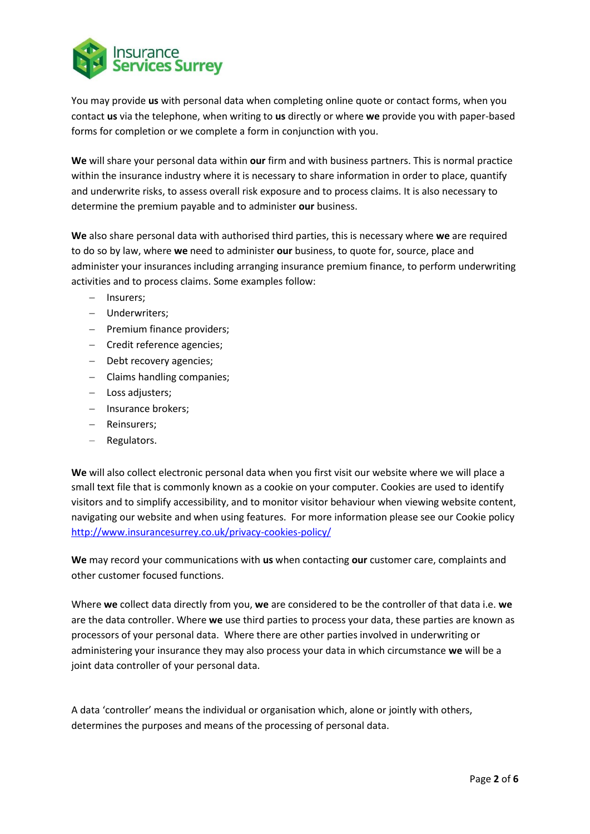

You may provide **us** with personal data when completing online quote or contact forms, when you contact **us** via the telephone, when writing to **us** directly or where **we** provide you with paper-based forms for completion or we complete a form in conjunction with you.

**We** will share your personal data within **our** firm and with business partners. This is normal practice within the insurance industry where it is necessary to share information in order to place, quantify and underwrite risks, to assess overall risk exposure and to process claims. It is also necessary to determine the premium payable and to administer **our** business.

**We** also share personal data with authorised third parties, this is necessary where **we** are required to do so by law, where **we** need to administer **our** business, to quote for, source, place and administer your insurances including arranging insurance premium finance, to perform underwriting activities and to process claims. Some examples follow:

- − Insurers;
- − Underwriters;
- − Premium finance providers;
- − Credit reference agencies;
- − Debt recovery agencies;
- − Claims handling companies;
- − Loss adjusters;
- − Insurance brokers;
- − Reinsurers;
- − Regulators.

**We** will also collect electronic personal data when you first visit our website where we will place a small text file that is commonly known as a cookie on your computer. Cookies are used to identify visitors and to simplify accessibility, and to monitor visitor behaviour when viewing website content, navigating our website and when using features. For more information please see our Cookie policy <http://www.insurancesurrey.co.uk/privacy-cookies-policy/>

**We** may record your communications with **us** when contacting **our** customer care, complaints and other customer focused functions.

Where **we** collect data directly from you, **we** are considered to be the controller of that data i.e. **we** are the data controller. Where **we** use third parties to process your data, these parties are known as processors of your personal data. Where there are other parties involved in underwriting or administering your insurance they may also process your data in which circumstance **we** will be a joint data controller of your personal data.

A data 'controller' means the individual or organisation which, alone or jointly with others, determines the purposes and means of the processing of personal data.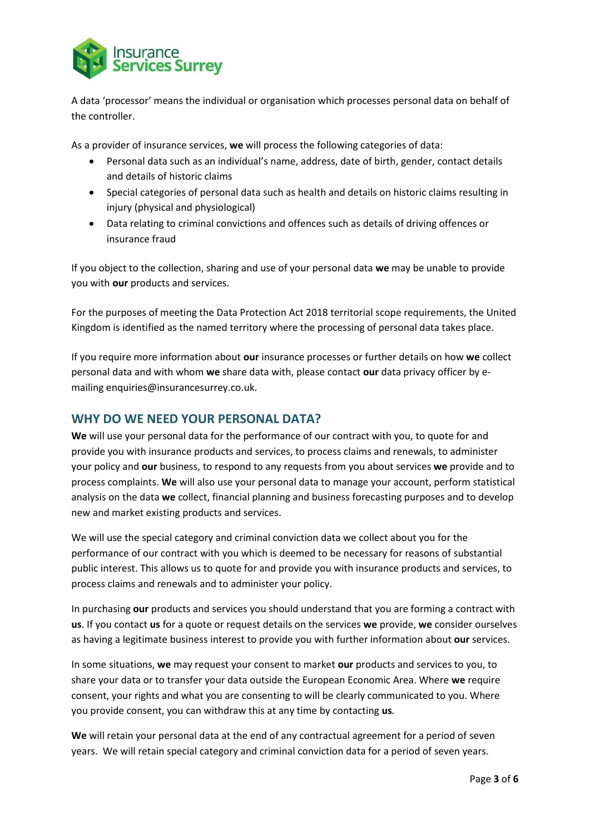

A data 'processor' means the individual or organisation which processes personal data on behalf of the controller.

As a provider of insurance services, **we** will process the following categories of data:

- Personal data such as an individual's name, address, date of birth, gender, contact details and details of historic claims
- Special categories of personal data such as health and details on historic claims resulting in injury (physical and physiological)
- Data relating to criminal convictions and offences such as details of driving offences or insurance fraud

If you object to the collection, sharing and use of your personal data **we** may be unable to provide you with **our** products and services.

For the purposes of meeting the Data Protection Act 2018 territorial scope requirements, the United Kingdom is identified as the named territory where the processing of personal data takes place.

If you require more information about **our** insurance processes or further details on how **we** collect personal data and with whom **we** share data with, please contact **our** data privacy officer by emailing enquiries@insurancesurrey.co.uk.

# **WHY DO WE NEED YOUR PERSONAL DATA?**

**We** will use your personal data for the performance of our contract with you, to quote for and provide you with insurance products and services, to process claims and renewals, to administer your policy and **our** business, to respond to any requests from you about services **we** provide and to process complaints. **We** will also use your personal data to manage your account, perform statistical analysis on the data **we** collect, financial planning and business forecasting purposes and to develop new and market existing products and services.

We will use the special category and criminal conviction data we collect about you for the performance of our contract with you which is deemed to be necessary for reasons of substantial public interest. This allows us to quote for and provide you with insurance products and services, to process claims and renewals and to administer your policy.

In purchasing **our** products and services you should understand that you are forming a contract with **us**. If you contact **us** for a quote or request details on the services **we** provide, **we** consider ourselves as having a legitimate business interest to provide you with further information about **our** services.

In some situations, **we** may request your consent to market **our** products and services to you, to share your data or to transfer your data outside the European Economic Area. Where **we** require consent, your rights and what you are consenting to will be clearly communicated to you. Where you provide consent, you can withdraw this at any time by contacting **us***.*

**We** will retain your personal data at the end of any contractual agreement for a period of seven years. We will retain special category and criminal conviction data for a period of seven years.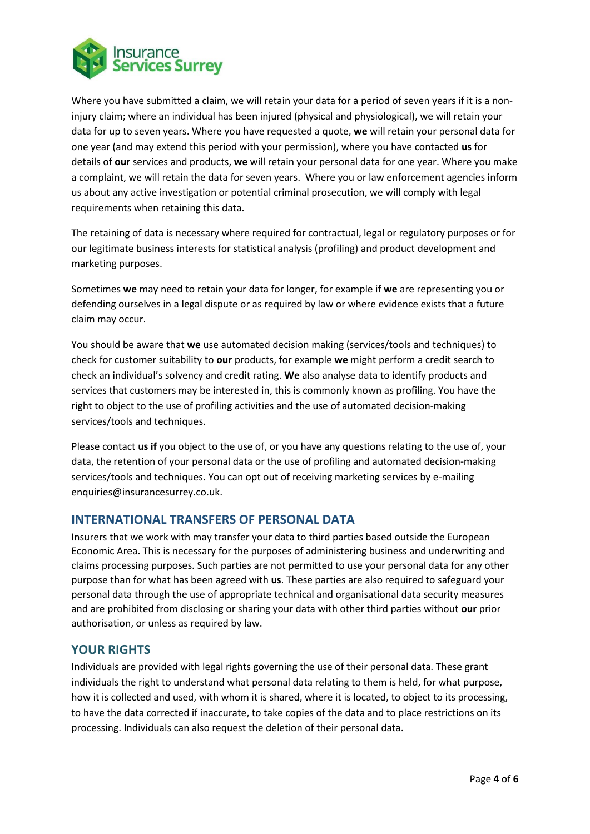

Where you have submitted a claim, we will retain your data for a period of seven years if it is a noninjury claim; where an individual has been injured (physical and physiological), we will retain your data for up to seven years. Where you have requested a quote, **we** will retain your personal data for one year (and may extend this period with your permission), where you have contacted **us** for details of **our** services and products, **we** will retain your personal data for one year. Where you make a complaint, we will retain the data for seven years. Where you or law enforcement agencies inform us about any active investigation or potential criminal prosecution, we will comply with legal requirements when retaining this data.

The retaining of data is necessary where required for contractual, legal or regulatory purposes or for our legitimate business interests for statistical analysis (profiling) and product development and marketing purposes.

Sometimes **we** may need to retain your data for longer, for example if **we** are representing you or defending ourselves in a legal dispute or as required by law or where evidence exists that a future claim may occur.

You should be aware that **we** use automated decision making (services/tools and techniques) to check for customer suitability to **our** products, for example **we** might perform a credit search to check an individual's solvency and credit rating. **We** also analyse data to identify products and services that customers may be interested in, this is commonly known as profiling. You have the right to object to the use of profiling activities and the use of automated decision-making services/tools and techniques.

Please contact **us if** you object to the use of, or you have any questions relating to the use of, your data, the retention of your personal data or the use of profiling and automated decision-making services/tools and techniques. You can opt out of receiving marketing services by e-mailing enquiries@insurancesurrey.co.uk.

## **INTERNATIONAL TRANSFERS OF PERSONAL DATA**

Insurers that we work with may transfer your data to third parties based outside the European Economic Area. This is necessary for the purposes of administering business and underwriting and claims processing purposes. Such parties are not permitted to use your personal data for any other purpose than for what has been agreed with **us**. These parties are also required to safeguard your personal data through the use of appropriate technical and organisational data security measures and are prohibited from disclosing or sharing your data with other third parties without **our** prior authorisation, or unless as required by law.

#### **YOUR RIGHTS**

Individuals are provided with legal rights governing the use of their personal data. These grant individuals the right to understand what personal data relating to them is held, for what purpose, how it is collected and used, with whom it is shared, where it is located, to object to its processing, to have the data corrected if inaccurate, to take copies of the data and to place restrictions on its processing. Individuals can also request the deletion of their personal data.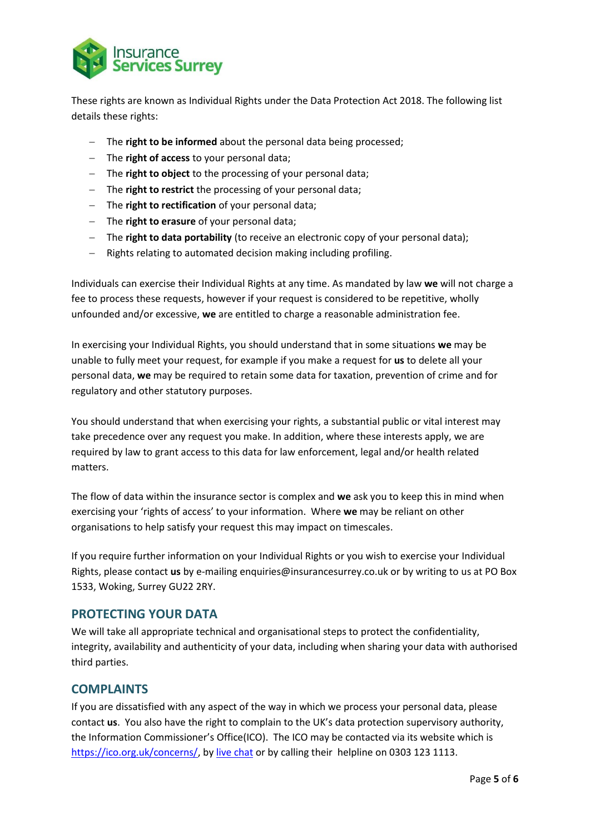

These rights are known as Individual Rights under the Data Protection Act 2018. The following list details these rights:

- − The **right to be informed** about the personal data being processed;
- − The **right of access** to your personal data;
- − The **right to object** to the processing of your personal data;
- − The **right to restrict** the processing of your personal data;
- − The **right to rectification** of your personal data;
- − The **right to erasure** of your personal data;
- − The **right to data portability** (to receive an electronic copy of your personal data);
- − Rights relating to automated decision making including profiling.

Individuals can exercise their Individual Rights at any time. As mandated by law **we** will not charge a fee to process these requests, however if your request is considered to be repetitive, wholly unfounded and/or excessive, **we** are entitled to charge a reasonable administration fee.

In exercising your Individual Rights, you should understand that in some situations **we** may be unable to fully meet your request, for example if you make a request for **us** to delete all your personal data, **we** may be required to retain some data for taxation, prevention of crime and for regulatory and other statutory purposes.

You should understand that when exercising your rights, a substantial public or vital interest may take precedence over any request you make. In addition, where these interests apply, we are required by law to grant access to this data for law enforcement, legal and/or health related matters.

The flow of data within the insurance sector is complex and **we** ask you to keep this in mind when exercising your 'rights of access' to your information. Where **we** may be reliant on other organisations to help satisfy your request this may impact on timescales.

If you require further information on your Individual Rights or you wish to exercise your Individual Rights, please contact **us** by e-mailing enquiries@insurancesurrey.co.uk or by writing to us at PO Box 1533, Woking, Surrey GU22 2RY.

## **PROTECTING YOUR DATA**

We will take all appropriate technical and organisational steps to protect the confidentiality, integrity, availability and authenticity of your data, including when sharing your data with authorised third parties.

#### **COMPLAINTS**

If you are dissatisfied with any aspect of the way in which we process your personal data, please contact **us**. You also have the right to complain to the UK's data protection supervisory authority, the Information Commissioner's Office(ICO). The ICO may be contacted via its website which is [https://ico.org.uk/concerns/,](https://ico.org.uk/concerns/) by [live chat](https://ico.org.uk/global/contact-us/live-chat) or by calling their helpline on 0303 123 1113.